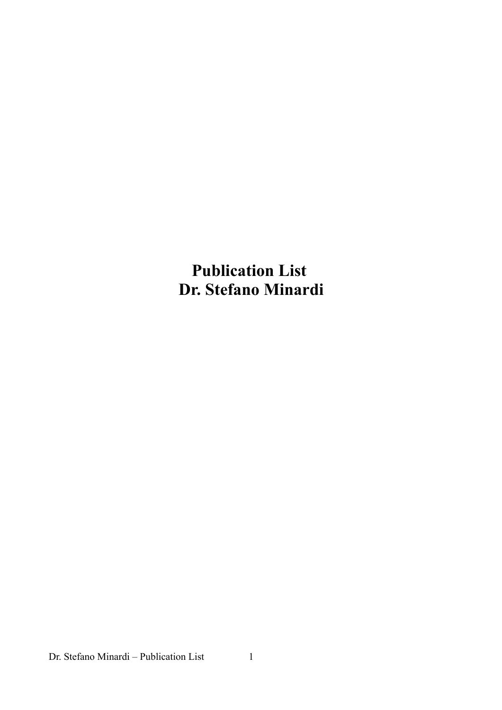**Publication List Dr. Stefano Minardi**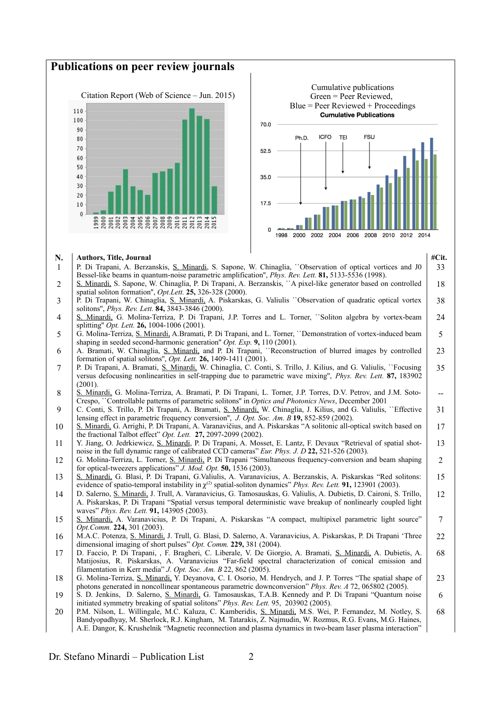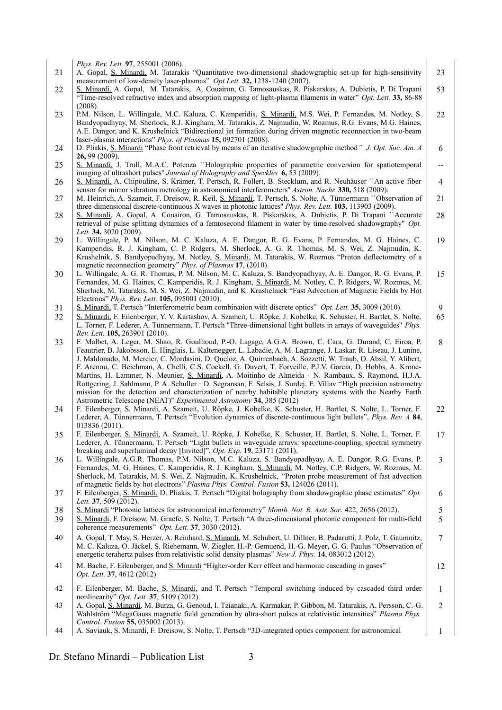*Phys. Rev. Lett.* **97**, 255001 (2006). 21 A. Gopal, S. Minardi, M. Tatarakis "Quantitative two-dimensional shadowgraphic set-up for high-sensitivity measurement of low-density laser-plasmas" *Opt.Lett.* **32,** 1238-1240 (2007). 23 22 S. Minardi, A. Gopal, M. Tatarakis, A. Couairon, G. Tamosauskas, R. Piskarskas, A. Dubietis, P. Di Trapani "Time-resolved refractive index and absorption mapping of light-plasma filaments in water" *Opt. Lett.* **33,** 86-88 (2008). 53 23 | P.M. Nilson, L. Willingale, M.C. Kaluza, C. Kamperidis, S. Minardi, M.S. Wei, P. Fernandes, M. Notley, S. Bandyopadhyay, M. Sherlock, R.J. Kingham, M. Tatarakis, Z. Najmudin, W. Rozmus, R.G. Evans, M.G. Haines, A.E. Dangor, and K. Krushelnick "Bidirectional jet formation during driven magnetic reconnection in two-beam laser-plasma interactions" *Phys. of Plasmas* **15,** 092701 (2008). 22 24 D. Pliakis, S. Minardi "Phase front retrieval by means of an iterative shadowgraphic method*" J. Opt. Soc. Am. A* **26,** 99 (2009). 6 25 S. Minardi, J. Trull, M.A.C. Potenza ``Holographic properties of parametric conversion for spatiotemporal imaging of ultrashort pulses'' *Journal of Holography and Speckles* **6,** 53 (2009). -- 26 S. Minardi, A. Chipouline, S. Krämer, T. Pertsch, R. Follert, B. Stecklum, and R. Neuhäuser ``An active fiber sensor for mirror vibration metrology in astronomical interferometers'' *Astron. Nachr.* **330,** 518 (2009). 4 27 | M. Heinrich, A. Szameit, F. Dreisow, R. Keil, S. Minardi, T. Pertsch, S. Nolte, A. Tünnermann '`Observation of three-dimensional discrete-continuous X waves in photonic lattices'' *Phys. Rev. Lett.* **103,** 113903 (2009). 21 28 S. Minardi, A. Gopal, A. Couairon, G. Tamosauskas, R. Piskarskas, A. Dubietis, P. Di Trapani ``Accurate retrieval of pulse splitting dynamics of a femtosecond filament in water by time-resolved shadowgraphy'' *Opt. Lett.* **34,** 3020 (2009). 28 29 L. Willingale, P. M. Nilson, M. C. Kaluza, A. E. Dangor, R. G. Evans, P. Fernandes, M. G. Haines, C. Kamperidis, R. J. Kingham, C. P. Ridgers, M. Sherlock, A. G. R. Thomas, M. S. Wei, Z. Najmudin, K. Krushelnik, S. Bandyopadhyay, M. Notley, S. Minardi, M. Tatarakis, W. Rozmus "Proton deflectometry of a magnetic reconnection geometry" *Phys. of Plasmas* **17**, (2010). 19 30 L. Willingale, A. G. R. Thomas, P. M. Nilson, M. C. Kaluza, S. Bandyopadhyay, A. E. Dangor, R. G. Evans, P. Fernandes, M. G. Haines, C. Kamperidis, R. J. Kingham, S. Minardi, M. Notley, C. P. Ridgers, W. Rozmus, M. Sherlock, M. Tatarakis, M. S. Wei, Z. Najmudin, and K. Krushelnick "Fast Advection of Magnetic Fields by Hot Electrons" *Phys. Rev. Lett.* **105,** 095001 (2010). 15 31 S. Minardi, T. Pertsch "Interferometric beam combination with discrete optics" *Opt. Lett.* **35,** 3009 (2010). 9 32 S. Minardi, F. Eilenberger, Y. V. Kartashov, A. Szameit, U. Röpke, J. Kobelke, K. Schuster, H. Bartlet, S. Nolte, L. Torner, F. Lederer, A. Tünnermann, T. Pertsch ''Three-dimensional light bullets in arrays of waveguides'' *Phys. Rev. Lett.* **105,** 263901 (2010). 65 33 F. Malbet, A. Leger, M. Shao, R. Goullioud, P.-O. Lagage, A.G.A. Brown, C. Cara, G. Durand, C. Eiroa, P. Feautrier, B. Jakobsson, E. Hinglais, L. Kaltenegger, L. Labadie, A.-M. Lagrange, J. Laskar, R. Liseau, J. Lunine, J. Maldonado, M. Mercier, C. Mordasini, D. Queloz, A. Quirrenbach, A. Sozzetti, W. Traub, O. Absil, Y. Alibert, F. Arenou, C. Beichman, A. Chelli, C.S. Cockell, G. Duvert, T. Forveille, P.J.V. Garcia, D. Hobbs, A. Krone-Martins, H. Lammer, N. Meunier, S. Minardi, A. Moitinho de Almeida · N. Rambaux, S. Raymond, H.J.A. Rottgering, J. Sahlmann, P. A. Schuller · D. Segransan, F. Selsis, J. Surdej, E. Villav "High precision astrometry mission for the detection and characterization of nearby habitable planetary systems with the Nearby Earth Astrometric Telescope (NEAT)" *Experimental Astronomy* **34**, 385 (2012) 8 34 F. Eilenberger, S. Minardi, A. Szameit, U. Röpke, J. Kobelke, K. Schuster, H. Bartlet, S. Nolte, L. Torner, F. Lederer, A. Tünnermann, T. Pertsch "Evolution dynamics of discrete-continuous light bullets", *Phys. Rev. A* **84**, 013836 (2011). 22 35 F. Eilenberger, S. Minardi, A. Szameit, U. Röpke, J. Kobelke, K. Schuster, H. Bartlet, S. Nolte, L. Torner, F. Lederer, A. Tünnermann, T. Pertsch "Light bullets in waveguide arrays: spacetime-coupling, spectral symmetry breaking and superluminal decay [Invited]", *Opt. Exp*. **19**, 23171 (2011). 17 36 L. Willingale, A.G.R. Thomas, P.M. Nilson, M.C. Kaluza, S. Bandyopadhyay, A. E. Dangor, R.G. Evans, P. Fernandes, M. G. Haines, C. Kamperidis, R. J. Kingham, S. Minardi, M. Notley, C.P. Ridgers, W. Rozmus, M. Sherlock, M. Tatarakis, M. S. Wei, Z. Najmudin, K. Krushelnick, "Proton probe measurement of fast advection of magnetic fields by hot electrons" *Plasma Phys. Control. Fusion* **53,** 124026 (2011). 3 37 F. Eilenberger, S. Minardi, D. Pliakis, T. Pertsch "Digital holography from shadowgraphic phase estimates" *Opt. Lett.* **37**, 509 (2012). 6 38 S. Minardi "Photonic lattices for astronomical interferometry" *Month. Not. R. Astr. Soc.* 422, 2656 (2012). 5 39 S. Minardi, F. Dreisow, M. Graefe, S. Nolte, T. Pertsch "A three-dimensional photonic component for multi-field coherence measurements" *Opt. Lett*. **37**, 3030 (2012). 5 40 A. Gopal, T. May, S. Herzer, A. Reinhard, S. Minardi, M. Schubert, U. Dillner, B. Padarutti, J. Polz, T. Gaumnitz, M. C. Kaluza, O. Jäckel, S. Riehemann, W. Ziegler, H.-P. Gemuend, H.-G. Meyer**,** G. G. Paulus "Observation of energetic terahertz pulses from relativistic solid density plasmas" *New J. Phys.* **14**, 083012 (2012). 7 41 M. Bache, F. Eilenberger, and S. Minardi "Higher-order Kerr effect and harmonic cascading in gases" *Opt. Lett.* **37**, 4612 (2012) 12 42 F. Eilenberger, M. Bache, S. Minardi, and T. Pertsch "Temporal switching induced by cascaded third order nonlinearity" *Opt. Lett.* **37**, 5109 (2012). 1 43 A. Gopal, S. Minardi, M. Burza, G. Genoud, I. Tzianaki, A. Karmakar, P. Gibbon, M. Tatarakis, A. Persson, C.-G. Wahlström "MegaGauss magnetic field generation by ultra-short pulses at relativistic intensities" *Plasma Phys. Control. Fusion* **55,** 035002 (2013). 2 44 A. Saviauk, S. Minardi, F. Dreisow, S. Nolte, T. Pertsch "3D-integrated optics component for astronomical 1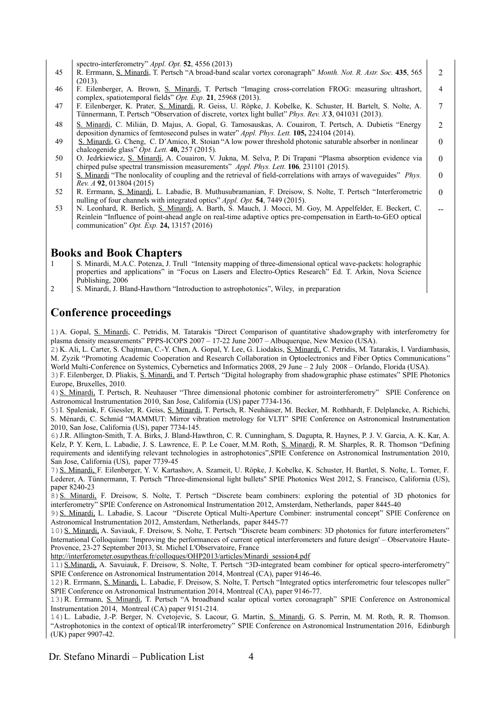spectro-interferometry" *Appl. Opt.* **52**, 4556 (2013)

- 45 R. Errmann, S. Minardi, T. Pertsch "A broad-band scalar vortex coronagraph" *Month. Not. R. Astr. Soc.* **435**, 565 (2013). 2
- 46 F. Eilenberger, A. Brown, S. Minardi, T. Pertsch "Imaging cross-correlation FROG: measuring ultrashort, complex, spatiotemporal fields" *Opt. Exp.* **21**, 25968 (2013). 4

7

 $\mathfrak{Z}$ 

0

 $\Omega$ 

--

- 47 F. Eilenberger, K. Prater, S. Minardi, R. Geiss, U. Röpke, J. Kobelke, K. Schuster, H. Bartelt, S. Nolte, A. Tünnermann, T. Pertsch "Observation of discrete, vortex light bullet" *Phys. Rev. X* **3**, 041031 (2013).
- 48 S. Minardi, C. Milián, D. Majus, A. Gopal, G. Tamosauskas, A. Couairon, T. Pertsch, A. Dubietis "Energy" deposition dynamics of femtosecond pulses in water" *Appl. Phys. Lett.* **105,** 224104 (2014).
- 49 S. Minardi, G. Cheng, C. D'Amico, R. Stoian "A low power threshold photonic saturable absorber in nonlinear chalcogenide glass" *Opt. Lett.* **40,** 257 (2015).
- 50 O. Jedrkiewicz, S. Minardi, A. Couairon, V. Jukna, M. Selva, P. Di Trapani "Plasma absorption evidence via chirped pulse spectral transmission measurements" *Appl. Phys. Lett.* **106***,* 231101 (2015).
- 51 S. Minardi "The nonlocality of coupling and the retrieval of field-correlations with arrays of waveguides" *Phys. Rev. A* **92**, 013804 (2015)  $\Omega$
- 52 R. Errmann, S. Minardi, L. Labadie, B. Muthusubramanian, F. Dreisow, S. Nolte, T. Pertsch "Interferometric nulling of four channels with integrated optics" *Appl. Opt.* **54**, 7449 (2015).  $\Omega$
- 53 N. Leonhard, R. Berlich, S. Minardi, A. Barth, S. Mauch, J. Mocci, M. Goy, M. Appelfelder, E. Beckert, C. Reinlein "Influence of point-ahead angle on real-time adaptive optics pre-compensation in Earth-to-GEO optical communication" *Opt. Exp.* **24,** 13157 (2016)

### **Books and Book Chapters**

- S. Minardi, M.A.C. Potenza, J. Trull "Intensity mapping of three-dimensional optical wave-packets: holographic properties and applications" in "Focus on Lasers and Electro-Optics Research" Ed. T. Arkin, Nova Science Publishing, 2006
- 2 S. Minardi, J. Bland-Hawthorn "Introduction to astrophotonics", Wiley, in preparation

# **Conference proceedings**

1)A. Gopal, S. Minardi, C. Petridis, M. Tatarakis "Direct Comparison of quantitative shadowgraphy with interferometry for plasma density measurements" PPPS-ICOPS 2007 – 17-22 June 2007 – Albuquerque, New Mexico (USA).

2)K. Ali, L. Carter, S. Chajtman, C.-Y. Chen, A. Gopal, Y. Lee, G. Liodakis, S. Minardi, C. Petridis, M. Tatarakis, I. Vardiambasis, M. Zyzik "Promoting Academic Cooperation and Research Collaboration in Optoelectronics and Fiber Optics Communications " World Multi-Conference on Systemics, Cybernetics and Informatics 2008, 29 June – 2 July 2008 – Orlando, Florida (USA).

3) F. Eilenberger, D. Pliakis, S. Minardi, and T. Pertsch "Digital holography from shadowgraphic phase estimates" SPIE Photonics Europe, Bruxelles, 2010.

4) S. Minardi, T. Pertsch, R. Neuhauser "Three dimensional photonic combiner for astrointerferometry" SPIE Conference on Astronomical Instrumentation 2010, San Jose, California (US) paper 7734-136.

5)I. Spaleniak, F. Giessler, R. Geiss, S. Minardi, T. Pertsch, R. Neuhäuser, M. Becker, M. Rothhardt, F. Delplancke, A. Richichi, S. Ménardi, C. Schmid "MAMMUT: Mirror vibration metrology for VLTI" SPIE Conference on Astronomical Instrumentation 2010, San Jose, California (US), paper 7734-145.

6)J.R. Allington-Smith, T. A. Birks, J. Bland-Hawthron, C. R. Cunningham, S. Dagupta, R. Haynes, P. J. V. Garcia, A. K. Kar, A. Kelz, P. Y. Kern, L. Labadie, J. S. Lawrence, E. P. Le Coaer, M.M. Roth, S. Minardi, R. M. Sharples, R. R. Thomson "Defining requirements and identifying relevant technologies in astrophotonics",SPIE Conference on Astronomical Instrumentation 2010, San Jose, California (US), paper 7739-45

7) S. Minardi, F. Eilenberger, Y. V. Kartashov, A. Szameit, U. Röpke, J. Kobelke, K. Schuster, H. Bartlet, S. Nolte, L. Torner, F. Lederer, A. Tünnermann, T. Pertsch ''Three-dimensional light bullets'' SPIE Photonics West 2012, S. Francisco, California (US), paper 8240-23

8) S. Minardi, F. Dreisow, S. Nolte, T. Pertsch "Discrete beam combiners: exploring the potential of 3D photonics for interferometry" SPIE Conference on Astronomical Instrumentation 2012, Amsterdam, Netherlands, paper 8445-40

9) S. Minardi, L. Labadie, S. Lacour "Discrete Optical Multi-Aperture Combiner: instrumental concept" SPIE Conference on Astronomical Instrumentation 2012, Amsterdam, Netherlands, paper 8445-77

10) S. Minardi, A. Saviauk, F. Dreisow, S. Nolte, T. Pertsch "Discrete beam combiners: 3D photonics for future interferometers" International Colloquium: 'Improving the performances of current optical interferometers and future design' – Observatoire Haute-Provence, 23-27 September 2013, St. Michel L'Observatoire, France

[http://interferometer.osupytheas.fr/colloques/OHP2013/articles/Minardi\\_session4.pdf](http://interferometer.osupytheas.fr/colloques/OHP2013/articles/Minardi_session4.pdf)

11) S.Minardi, A. Savuiauk, F. Dreisow, S. Nolte, T. Pertsch "3D-integrated beam combiner for optical specro-interferometry" SPIE Conference on Astronomical Instrumentation 2014, Montreal (CA), paper 9146-46.

12)R. Errmann, S. Minardi, L. Labadie, F. Dreisow, S. Nolte, T. Pertsch "Integrated optics interferometric four telescopes nuller" SPIE Conference on Astronomical Instrumentation 2014, Montreal (CA), paper 9146-77.

13)R. Errmann, S. Minardi, T. Pertsch "A broadband scalar optical vortex coronagraph" SPIE Conference on Astronomical Instrumentation 2014, Montreal (CA) paper 9151-214.

14)L. Labadie, J.-P. Berger, N. Cvetojevic, S. Lacour, G. Martin, S. Minardi, G. S. Perrin, M. M. Roth, R. R. Thomson. "Astrophotonics in the context of optical/IR interferometry" SPIE Conference on Astronomical Instrumentation 2016, Edinburgh (UK) paper 9907-42.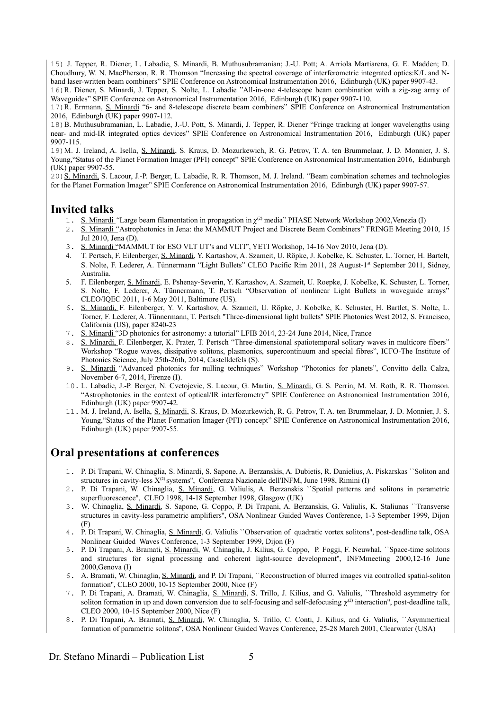15) J. Tepper, R. Diener, L. Labadie, S. Minardi, B. Muthusubramanian; J.-U. Pott; A. Arriola Martiarena, G. E. Madden; D. Choudhury, W. N. MacPherson, R. R. Thomson "Increasing the spectral coverage of interferometric integrated optics:K/L and Nband laser-written beam combiners" SPIE Conference on Astronomical Instrumentation 2016, Edinburgh (UK) paper 9907-43.

16)R. Diener, S. Minardi, J. Tepper, S. Nolte, L. Labadie "All-in-one 4-telescope beam combination with a zig-zag array of Waveguides" SPIE Conference on Astronomical Instrumentation 2016, Edinburgh (UK) paper 9907-110.

17)R. Errmann, S. Minardi "6- and 8-telescope discrete beam combiners" SPIE Conference on Astronomical Instrumentation 2016, Edinburgh (UK) paper 9907-112.

18)B. Muthusubramanian, L. Labadie, J.-U. Pott, S. Minardi, J. Tepper, R. Diener "Fringe tracking at longer wavelengths using near- and mid-IR integrated optics devices" SPIE Conference on Astronomical Instrumentation 2016, Edinburgh (UK) paper 9907-115.

19)M. J. Ireland, A. Isella, S. Minardi, S. Kraus, D. Mozurkewich, R. G. Petrov, T. A. ten Brummelaar, J. D. Monnier, J. S. Young,"Status of the Planet Formation Imager (PFI) concept" SPIE Conference on Astronomical Instrumentation 2016, Edinburgh (UK) paper 9907-55.

20) S. Minardi, S. Lacour, J.-P. Berger, L. Labadie, R. R. Thomson, M. J. Ireland. "Beam combination schemes and technologies for the Planet Formation Imager" SPIE Conference on Astronomical Instrumentation 2016, Edinburgh (UK) paper 9907-57.

#### **Invited talks**

- 1. S. Minardi "Large beam filamentation in propagation in  $\chi^{(2)}$  media" PHASE Network Workshop 2002, Venezia (I)
- 2. S. Minardi "Astrophotonics in Jena: the MAMMUT Project and Discrete Beam Combiners" FRINGE Meeting 2010, 15 Jul 2010, Jena (D).
- 3. S. Minardi "MAMMUT for ESO VLT UT's and VLTI", YETI Workshop, 14-16 Nov 2010, Jena (D).
- 4. T. Pertsch, F. Eilenberger, S. Minardi, Y. Kartashov, A. Szameit, U. Röpke, J. Kobelke, K. Schuster, L. Torner, H. Bartelt, S. Nolte, F. Lederer, A. Tünnermann "Light Bullets" CLEO Pacific Rim 2011, 28 August-1st September 2011, Sidney, Australia.
- 5. F. Eilenberger, S. Minardi, E. Pshenay-Severin, Y. Kartashov, A. Szameit, U. Roepke, J. Kobelke, K. Schuster, L. Torner, S. Nolte, F. Lederer, A. Tünnermann, T. Pertsch "Observation of nonlinear Light Bullets in waveguide arrays" CLEO/IQEC 2011, 1-6 May 2011, Baltimore (US).
- 6. S. Minardi, F. Eilenberger, Y. V. Kartashov, A. Szameit, U. Röpke, J. Kobelke, K. Schuster, H. Bartlet, S. Nolte, L. Torner, F. Lederer, A. Tünnermann, T. Pertsch ''Three-dimensional light bullets'' SPIE Photonics West 2012, S. Francisco, California (US), paper 8240-23
- 7. S. Minardi "3D photonics for astronomy: a tutorial" LFIB 2014, 23-24 June 2014, Nice, France
- 8. S. Minardi, F. Eilenberger, K. Prater, T. Pertsch "Three-dimensional spatiotemporal solitary waves in multicore fibers" Workshop "Rogue waves, dissipative solitons, plasmonics, supercontinuum and special fibres", ICFO-The Institute of Photonics Science, July 25th-26th, 2014, Castelldefels (S).
- 9. S. Minardi "Advanced photonics for nulling techniques" Workshop "Photonics for planets", Convitto della Calza, November 6-7, 2014, Firenze (I).
- 10. L. Labadie, J.-P. Berger, N. Cvetojevic, S. Lacour, G. Martin, S. Minardi, G. S. Perrin, M. M. Roth, R. R. Thomson. "Astrophotonics in the context of optical/IR interferometry" SPIE Conference on Astronomical Instrumentation 2016, Edinburgh (UK) paper 9907-42.
- 11. M. J. Ireland, A. Isella, S. Minardi, S. Kraus, D. Mozurkewich, R. G. Petrov, T. A. ten Brummelaar, J. D. Monnier, J. S. Young, "Status of the Planet Formation Imager (PFI) concept" SPIE Conference on Astronomical Instrumentation 2016, Edinburgh (UK) paper 9907-55.

# **Oral presentations at conferences**

- 1. P. Di Trapani, W. Chinaglia, S. Minardi, S. Sapone, A. Berzanskis, A. Dubietis, R. Danielius, A. Piskarskas ``Soliton and structures in cavity-less  $X^{(2)}$  systems". Conferenza Nazionale dell'INFM, June 1998, Rimini (I)
- 2. P. Di Trapani, W. Chinaglia, S. Minardi, G. Valiulis, A. Berzanskis ``Spatial patterns and solitons in parametric superfluorescence'', CLEO 1998, 14-18 September 1998, Glasgow (UK)
- 3. W. Chinaglia, S. Minardi, S. Sapone, G. Coppo, P. Di Trapani, A. Berzanskis, G. Valiulis, K. Staliunas ``Transverse structures in cavity-less parametric amplifiers'', OSA Nonlinear Guided Waves Conference, 1-3 September 1999, Dijon (F)
- 4. P. Di Trapani, W. Chinaglia, S. Minardi, G. Valiulis ``Observation of quadratic vortex solitons'', post-deadline talk, OSA Nonlinear Guided Waves Conference, 1-3 September 1999, Dijon (F)
- 5. P. Di Trapani, A. Bramati, S. Minardi, W. Chinaglia, J. Kilius, G. Coppo, P. Foggi, F. Neuwhal, ``Space-time solitons and structures for signal processing and coherent light-source development'', INFMmeeting 2000,12-16 June 2000,Genova (I)
- 6. A. Bramati, W. Chinaglia, S. Minardi, and P. Di Trapani, ``Reconstruction of blurred images via controlled spatial-soliton formation'', CLEO 2000, 10-15 September 2000, Nice (F)
- 7. P. Di Trapani, A. Bramati, W. Chinaglia, S. Minardi, S. Trillo, J. Kilius, and G. Valiulis, ``Threshold asymmetry for soliton formation in up and down conversion due to self-focusing and self-defocusing  $\chi^{(2)}$  interaction", post-deadline talk, CLEO 2000, 10-15 September 2000, Nice (F)
- 8. P. Di Trapani, A. Bramati, S. Minardi, W. Chinaglia, S. Trillo, C. Conti, J. Kilius, and G. Valiulis, ``Asymmertical formation of parametric solitons'', OSA Nonlinear Guided Waves Conference, 25-28 March 2001, Clearwater (USA)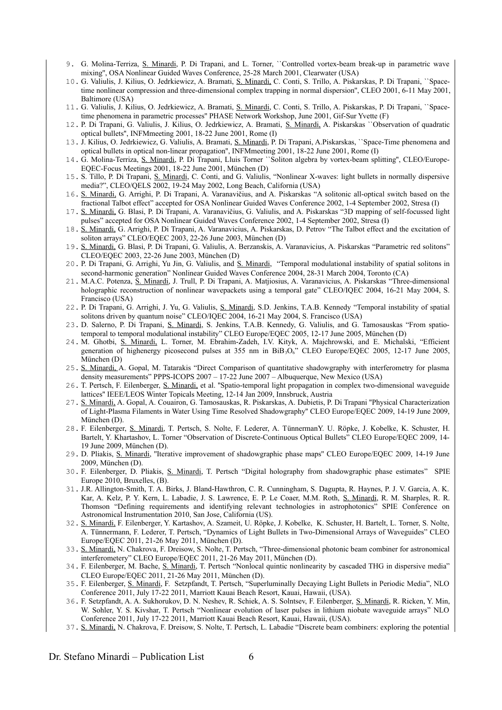- 9. G. Molina-Terriza, S. Minardi, P. Di Trapani, and L. Torner, ``Controlled vortex-beam break-up in parametric wave mixing'', OSA Nonlinear Guided Waves Conference, 25-28 March 2001, Clearwater (USA)
- 10. G. Valiulis, J. Kilius, O. Jedrkiewicz, A. Bramati, S. Minardi, C. Conti, S. Trillo, A. Piskarskas, P. Di Trapani, ``Spacetime nonlinear compression and three-dimensional complex trapping in normal dispersion'', CLEO 2001, 6-11 May 2001, Baltimore (USA)
- 11. G. Valiulis, J. Kilius, O. Jedrkiewicz, A. Bramati, S. Minardi, C. Conti, S. Trillo, A. Piskarskas, P. Di Trapani, ``Spacetime phenomena in parametric processes'' PHASE Network Workshop, June 2001, Gif-Sur Yvette (F)
- 12. P. Di Trapani, G. Valiulis, J. Kilius, O. Jedrkiewicz, A. Bramati, S. Minardi, A. Piskarskas ``Observation of quadratic optical bullets'', INFMmeeting 2001, 18-22 June 2001, Rome (I)
- 13. J. Kilius, O. Jedrkiewicz, G. Valiulis, A. Bramati, S. Minardi, P. Di Trapani, A.Piskarskas, ``Space-Time phenomena and optical bullets in optical non-linear propagation'', INFMmeeting 2001, 18-22 June 2001, Rome (I)
- 14. G. Molina-Terriza, S. Minardi, P. Di Trapani, Lluis Torner ``Soliton algebra by vortex-beam splitting'', CLEO/Europe-EQEC-Focus Meetings 2001, 18-22 June 2001, München (D)
- 15. S. Tillo, P. Di Trapani, S. Minardi, C. Conti, and G. Valiulis, "Nonlinear X-waves: light bullets in normally dispersive media?", CLEO/QELS 2002, 19-24 May 2002, Long Beach, California (USA)
- 16. S. Minardi, G. Arrighi, P. Di Trapani, A. Varanavičius, and A. Piskarskas "A solitonic all-optical switch based on the fractional Talbot effect" accepted for OSA Nonlinear Guided Waves Conference 2002, 1-4 September 2002, Stresa (I)
- 17. S. Minardi, G. Blasi, P. Di Trapani, A. Varanavičius, G. Valiulis, and A. Piskarskas "3D mapping of self-focussed light pulses" accepted for OSA Nonlinear Guided Waves Conference 2002, 1-4 September 2002, Stresa (I)
- 18. S. Minardi, G. Arrighi, P. Di Trapani, A. Varanavicius, A. Piskarskas, D. Petrov "The Talbot effect and the excitation of soliton arrays" CLEO/EQEC 2003, 22-26 June 2003, München (D)
- 19. S. Minardi, G. Blasi, P. Di Trapani, G. Valiulis, A. Berzanskis, A. Varanavicius, A. Piskarskas "Parametric red solitons" CLEO/EQEC 2003, 22-26 June 2003, München (D)
- 20. P. Di Trapani, G. Arrighi, Yu Jin, G. Valiulis, and S. Minardi, "Temporal modulational instability of spatial solitons in second-harmonic generation" Nonlinear Guided Waves Conference 2004, 28-31 March 2004, Toronto (CA)
- 21. M.A.C. Potenza, S. Minardi, J. Trull, P. Di Trapani, A. Matjiosius, A. Varanavicius, A. Piskarskas "Three-dimensional holographic reconstruction of nonlinear wavepackets using a temporal gate" CLEO/IQEC 2004, 16-21 May 2004, S. Francisco (USA)
- 22. P. Di Trapani, G. Arrighi, J. Yu, G. Valiulis, S. Minardi, S.D. Jenkins, T.A.B. Kennedy "Temporal instability of spatial solitons driven by quantum noise" CLEO/IQEC 2004, 16-21 May 2004, S. Francisco (USA)
- 23. D. Salerno, P. Di Trapani, S. Minardi, S. Jenkins, T.A.B. Kennedy, G. Valiulis, and G. Tamosauskas "From spatiotemporal to temporal modulational instability" CLEO Europe/EQEC 2005, 12-17 June 2005, München (D)
- 24. M. Ghotbi, S. Minardi, L. Torner, M. Ebrahim-Zadeh, I.V. Kityk, A. Majchrowski, and E. Michalski, "Efficient generation of highenergy picosecond pulses at 355 nm in BiB3O6" CLEO Europe/EQEC 2005, 12-17 June 2005, München (D)
- 25. S. Minardi, A. Gopal, M. Tatarakis "Direct Comparison of quantitative shadowgraphy with interferometry for plasma density measurements" PPPS-ICOPS 2007 – 17-22 June 2007 – Albuquerque, New Mexico (USA)
- 26. T. Pertsch, F. Eilenberger, S. Minardi, et al. ''Spatio-temporal light propagation in complex two-dimensional waveguide lattices'' IEEE/LEOS Winter Topicals Meeting, 12-14 Jan 2009, Innsbruck, Austria
- 27. S. Minardi, A. Gopal, A. Couairon, G. Tamosauskas, R. Piskarskas, A. Dubietis, P. Di Trapani ''Physical Characterization of Light-Plasma Filaments in Water Using Time Resolved Shadowgraphy'' CLEO Europe/EQEC 2009, 14-19 June 2009, München (D).
- 28. F. Eilenberger, S. Minardi, T. Pertsch, S. Nolte, F. Lederer, A. TünnermanY. U. Röpke, J. Kobelke, K. Schuster, H. Bartelt, Y. Khartashov, L. Torner "Observation of Discrete-Continuous Optical Bullets" CLEO Europe/EQEC 2009, 14- 19 June 2009, München (D).
- 29. D. Pliakis, S. Minardi, ''Iterative improvement of shadowgraphic phase maps'' CLEO Europe/EQEC 2009, 14-19 June 2009, München (D).
- 30. F. Eilenberger, D. Pliakis, S. Minardi, T. Pertsch "Digital holography from shadowgraphic phase estimates" SPIE Europe 2010, Bruxelles, (B).
- 31. J.R. Allington-Smith, T. A. Birks, J. Bland-Hawthron, C. R. Cunningham, S. Dagupta, R. Haynes, P. J. V. Garcia, A. K. Kar, A. Kelz, P. Y. Kern, L. Labadie, J. S. Lawrence, E. P. Le Coaer, M.M. Roth, S. Minardi, R. M. Sharples, R. R. Thomson "Defining requirements and identifying relevant technologies in astrophotonics" SPIE Conference on Astronomical Instrumentation 2010, San Jose, California (US).
- 32. S. Minardi, F. Eilenberger, Y. Kartashov, A. Szameit, U. Röpke, J. Kobelke, K. Schuster, H. Bartelt, L. Torner, S. Nolte, A. Tünnermann, F. Lederer, T. Pertsch, "Dynamics of Light Bullets in Two-Dimensional Arrays of Waveguides" CLEO Europe/EQEC 2011, 21-26 May 2011, München (D).
- 33. S. Minardi, N. Chakrova, F. Dreisow, S. Nolte, T. Pertsch, "Three-dimensional photonic beam combiner for astronomical interferometery" CLEO Europe/EQEC 2011, 21-26 May 2011, München (D).
- 34. F. Eilenberger, M. Bache, S. Minardi, T. Pertsch "Nonlocal quintic nonlinearity by cascaded THG in dispersive media" CLEO Europe/EQEC 2011, 21-26 May 2011, München (D).
- 35. F. Eilenberger, S. Minardi, F. Setzpfandt, T. Pertsch, "Superluminally Decaying Light Bullets in Periodic Media", NLO Conference 2011, July 17-22 2011, Marriott Kauai Beach Resort, Kauai, Hawaii, (USA).
- 36. F. Setzpfandt, A. A. Sukhorukov, D. N. Neshev, R. Schiek, A. S. Solntsev, F. Eilenberger, S. Minardi, R. Ricken, Y. Min, W. Sohler, Y. S. Kivshar, T. Pertsch "Nonlinear evolution of laser pulses in lithium niobate waveguide arrays" NLO Conference 2011, July 17-22 2011, Marriott Kauai Beach Resort, Kauai, Hawaii, (USA).
- 37. S. Minardi, N. Chakrova, F. Dreisow, S. Nolte, T. Pertsch, L. Labadie "Discrete beam combiners: exploring the potential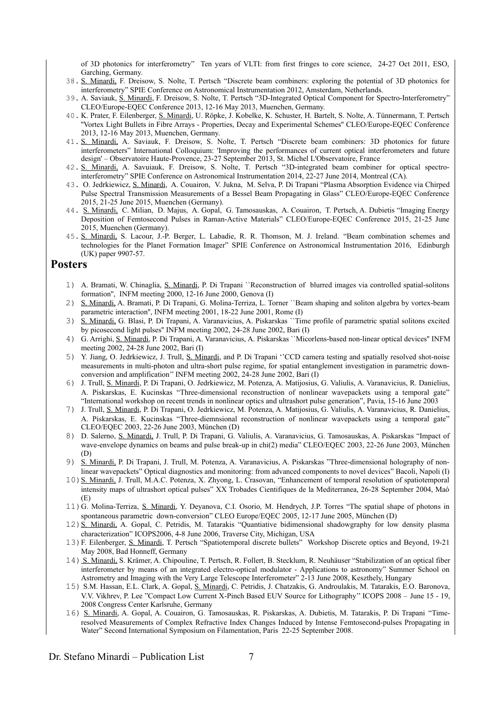of 3D photonics for interferometry" Ten years of VLTI: from first fringes to core science, 24-27 Oct 2011, ESO, Garching, Germany.

- 38. S. Minardi, F. Dreisow, S. Nolte, T. Pertsch "Discrete beam combiners: exploring the potential of 3D photonics for interferometry" SPIE Conference on Astronomical Instrumentation 2012, Amsterdam, Netherlands.
- 39. A. Saviauk, S. Minardi, F. Dreisow, S. Nolte, T. Pertsch "3D-Integrated Optical Component for Spectro-Interferometry" CLEO/Europe-EQEC Conference 2013, 12-16 May 2013, Muenchen, Germany.
- 40. K. Prater, F. Eilenberger, S. Minardi, U. Röpke, J. Kobelke, K. Schuster, H. Bartelt, S. Nolte, A. Tünnermann, T. Pertsch ''Vortex Light Bullets in Fibre Arrays - Properties, Decay and Experimental Schemes'' CLEO/Europe-EQEC Conference 2013, 12-16 May 2013, Muenchen, Germany.
- 41. S. Minardi, A. Saviauk, F. Dreisow, S. Nolte, T. Pertsch "Discrete beam combiners: 3D photonics for future interferometers" International Colloquium: 'Improving the performances of current optical interferometers and future design' – Observatoire Haute-Provence, 23-27 September 2013, St. Michel L'Observatoire, France
- 42. S. Minardi, A. Savuiauk, F. Dreisow, S. Nolte, T. Pertsch "3D-integrated beam combiner for optical spectrointerferometry" SPIE Conference on Astronomical Instrumentation 2014, 22-27 June 2014, Montreal (CA).
- 43. O. Jedrkiewicz, S. Minardi, A. Couairon, V. Jukna, M. Selva, P. Di Trapani "Plasma Absorption Evidence via Chirped Pulse Spectral Transmission Measurements of a Bessel Beam Propagating in Glass" CLEO/Europe-EQEC Conference 2015, 21-25 June 2015, Muenchen (Germany).
- 44. S. Minardi, C. Milian, D. Majus, A. Gopal, G. Tamosauskas, A. Couairon, T. Pertsch, A. Dubietis "Imaging Energy Deposition of Femtosecond Pulses in Raman-Active Materials" CLEO/Europe-EQEC Conference 2015, 21-25 June 2015, Muenchen (Germany).
- 45. S. Minardi, S. Lacour, J.-P. Berger, L. Labadie, R. R. Thomson, M. J. Ireland. "Beam combination schemes and technologies for the Planet Formation Imager" SPIE Conference on Astronomical Instrumentation 2016, Edinburgh (UK) paper 9907-57.

## **Posters**

- 1) A. Bramati, W. Chinaglia, S. Minardi, P. Di Trapani ``Reconstruction of blurred images via controlled spatial-solitons formation'', INFM meeting 2000, 12-16 June 2000, Genova (I)
- 2) S. Minardi, A. Bramati, P. Di Trapani, G. Molina-Terriza, L. Torner ``Beam shaping and soliton algebra by vortex-beam parametric interaction'', INFM meeting 2001, 18-22 June 2001, Rome (I)
- 3) S. Minardi, G. Blasi, P. Di Trapani, A. Varanavicius, A. Piskarskas ``Time profile of parametric spatial solitons excited by picosecond light pulses'' INFM meeting 2002, 24-28 June 2002, Bari (I)
- 4) G. Arrighi, S. Minardi, P. Di Trapani, A. Varanavicius, A. Piskarskas ``Micorlens-based non-linear optical devices'' INFM meeting 2002, 24-28 June 2002, Bari (I)
- 5) Y. Jiang, O. Jedrkiewicz, J. Trull, S. Minardi, and P. Di Trapani ''CCD camera testing and spatially resolved shot-noise measurements in multi-photon and ultra-short pulse regime, for spatial entanglement investigation in parametric downconversion and amplification" INFM meeting  $2002$ ,  $24-28$  June  $2002$ , Bari (I)
- 6) J. Trull, S. Minardi, P. Di Trapani, O. Jedrkiewicz, M. Potenza, A. Matijosius, G. Valiulis, A. Varanavicius, R. Danielius, A. Piskarskas, E. Kucinskas "Three-dimensional reconstruction of nonlinear wavepackets using a temporal gate" "International workshop on recent trends in nonlinear optics and ultrashort pulse generation", Pavia, 15-16 June 2003
- 7) J. Trull, S. Minardi, P. Di Trapani, O. Jedrkiewicz, M. Potenza, A. Matijosius, G. Valiulis, A. Varanavicius, R. Danielius, A. Piskarskas, E. Kucinskas "Three-diemnsional reconstruction of nonlinear wavepackets using a temporal gate" CLEO/EQEC 2003, 22-26 June 2003, München (D)
- 8) D. Salerno, S. Minardi, J. Trull, P. Di Trapani, G. Valiulis, A. Varanavicius, G. Tamosauskas, A. Piskarskas "Impact of wave-envelope dynamics on beams and pulse break-up in chi(2) media" CLEO/EQEC 2003, 22-26 June 2003, München (D)
- 9) S. Minardi, P. Di Trapani, J. Trull, M. Potenza, A. Varanavicius, A. Piskarskas "Three-dimensional holography of nonlinear wavepackets" Optical diagnostics and monitoring: from advanced components to novel devices" Bacoli, Napoli (I)
- 10) S. Minardi, J. Trull, M.A.C. Potenza, X. Zhyong, L. Crasovan, "Enhancement of temporal resolution of spatiotemporal intensity maps of ultrashort optical pulses" XX Trobades Cientifiques de la Mediterranea, 26-28 September 2004, Maó (E)
- 11)G. Molina-Terriza, S. Minardi, Y. Deyanova, C.I. Osorio, M. Hendrych, J.P. Torres "The spatial shape of photons in spontaneous parametric down-conversion" CLEO Europe/EQEC 2005, 12-17 June 2005, München (D)
- 12) S. Minardi, A. Gopal, C. Petridis, M. Tatarakis "Quantiative bidimensional shadowgraphy for low density plasma characterization" ICOPS2006, 4-8 June 2006, Traverse City, Michigan, USA
- 13)F. Eilenberger, S. Minardi, T. Pertsch "Spatiotemporal discrete bullets" Workshop Discrete optics and Beyond, 19-21 May 2008, Bad Honneff, Germany
- 14) S. Minardi, S. Krämer, A. Chipouline, T. Pertsch, R. Follert, B. Stecklum, R. Neuhäuser "Stabilization of an optical fiber interferometer by means of an integrated electro-optical modulator - Applications to astronomy" Summer School on Astrometry and Imaging with the Very Large Telescope Interferometer" 2-13 June 2008, Keszthely, Hungary
- 15) S.M. Hassan, E.L. Clark, A. Gopal, S. Minardi, C. Petridis, J. Chatzakis, G. Androulakis, M. Tatarakis, E.O. Baronova, V.V. Vikhrev, P. Lee "Compact Low Current X-Pinch Based EUV Source for Lithography'' ICOPS 2008 – June 15 - 19, 2008 Congress Center Karlsruhe, Germany
- 16) S. Minardi, A. Gopal, A. Couairon, G. Tamosauskas, R. Piskarskas, A. Dubietis, M. Tatarakis, P. Di Trapani "Timeresolved Measurements of Complex Refractive Index Changes Induced by Intense Femtosecond-pulses Propagating in Water" Second International Symposium on Filamentation, Paris 22-25 September 2008.